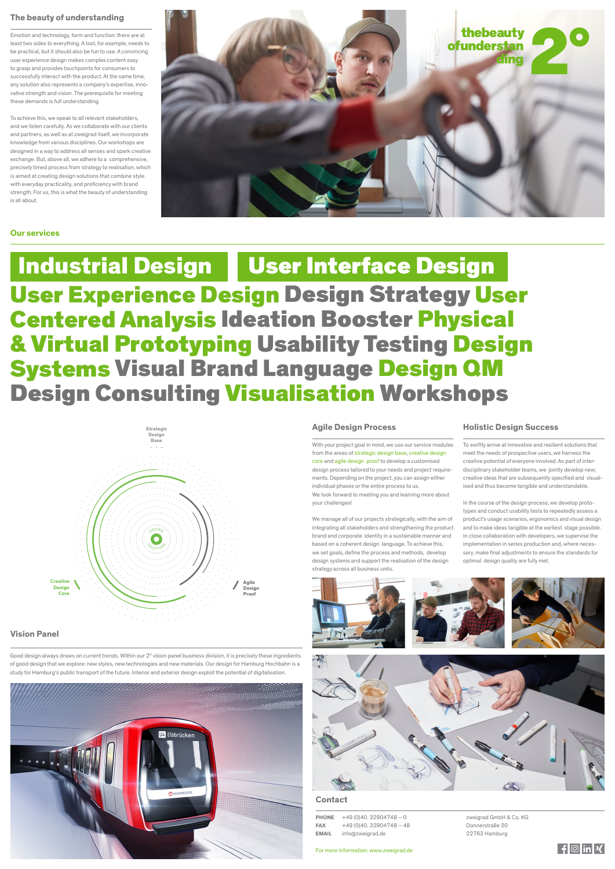

## **The beauty of understanding**

Emotion and technology, form and function: there are at least two sides to everything. A tool, for example, needs to be practical, but it should also be fun to use. A convincing user experience design makes complex content easy to grasp and provides touchpoints for consumers to successfully interact with the product. At the same time, any solution also represents a company's expertise, innovative strength and vision. The prerequisite for meeting these demands is full understanding.

To achieve this, we speak to all relevant stakeholders, and we listen carefully. As we collaborate with our clients and partners, as well as at zweigrad itself, we incorporate knowledge from various disciplines. Our workshops are designed in a way to address all senses and spark creative exchange. But, above all, we adhere to a comprehensive, precisely timed process from strategy to realisation, which is aimed at creating design solutions that combine style with everyday practicality, and proficiency with brand strength. For us, this is what the beauty of understanding is all about.



#### **Agile Design Process**

Industrial Design | User Interface Design User Experience Design Design Strategy User Centered Analysis Ideation Booster Physical & Virtual Prototyping Usability Testing Design Systems Visual Brand Language Design QM Design Consulting Visualisation Workshops

> With your project goal in mind, we use our service modules from the areas of strategic design base, creative design core and agile design proof to develop a customised design process tailored to your needs and project requirements. Depending on the project, you can assign either individual phases or the entire process to us. We look forward to meeting you and learning more about your challenges!

> We manage all of our projects strategically, with the aim of integrating all stakeholders and strengthening the product brand and corporate identity in a sustainable manner and based on a coherent design language. To achieve this, we set goals, define the process and methods, develop design systems and support the realisation of the design strategy across all business units.



#### **Vision Panel**

#### **Contact**

**PHONE** +49 (0)40. 32904748 – 0 **FAX**  $+49(0)40.32904748 - 48$ **EMAIL** info@zweigrad.de

For more information: www.zweigrad.de

zweigrad GmbH & Co. KG Donnerstraße 20 22763 Hamburg



Good design always draws on current trends. Within our 2° vision panel business division, it is precisely these ingredients of good design that we explore: new styles, new technologies and new materials. Our design for Hamburg Hochbahn is a study for Hamburg's public transport of the future. Interior and exterior design exploit the potential of digitalisation.





## **Our services**

#### **Holistic Design Success**

To swiftly arrive at innovative and resilient solutions that meet the needs of prospective users, we harness the creative potential of everyone involved. As part of interdisciplinary stakeholder teams, we jointly develop new, creative ideas that are subsequently specified and visualised and thus become tangible and understandable.

In the course of the design process, we develop prototypes and conduct usability tests to repeatedly assess a product's usage scenarios, ergonomics and visual design and to make ideas tangible at the earliest stage possible. In close collaboration with developers, we supervise the implementation in series production and, where necessary, make final adjustments to ensure the standards for optimal design quality are fully met.